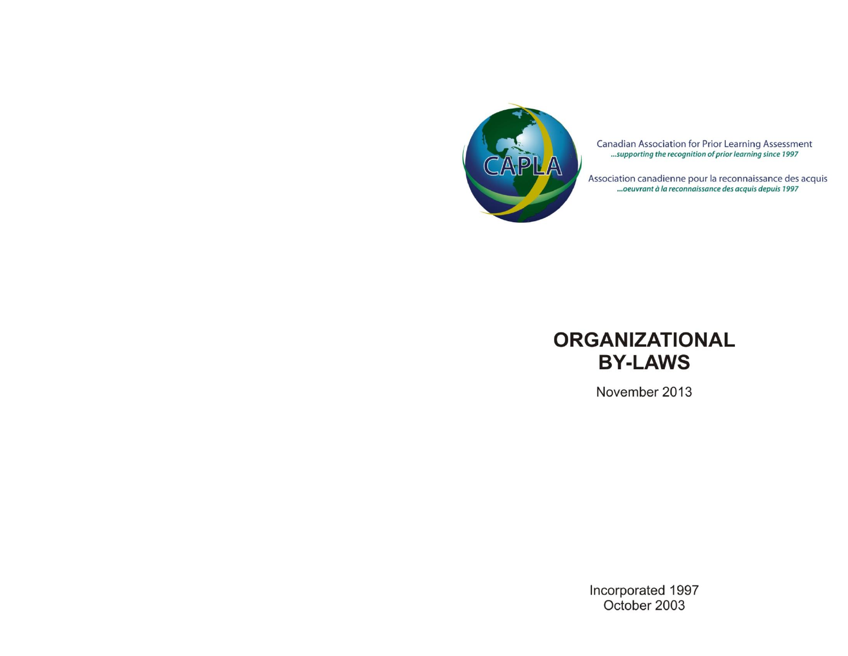

Canadian Association for Prior Learning Assessment<br>
...supporting the recognition of prior learning since 1997

Association canadienne pour la reconnaissance des acquis<br>...oeuvrant à la reconnaissance des acquis depuis 1997



November 2013

Incorporated 1997<br>October 2003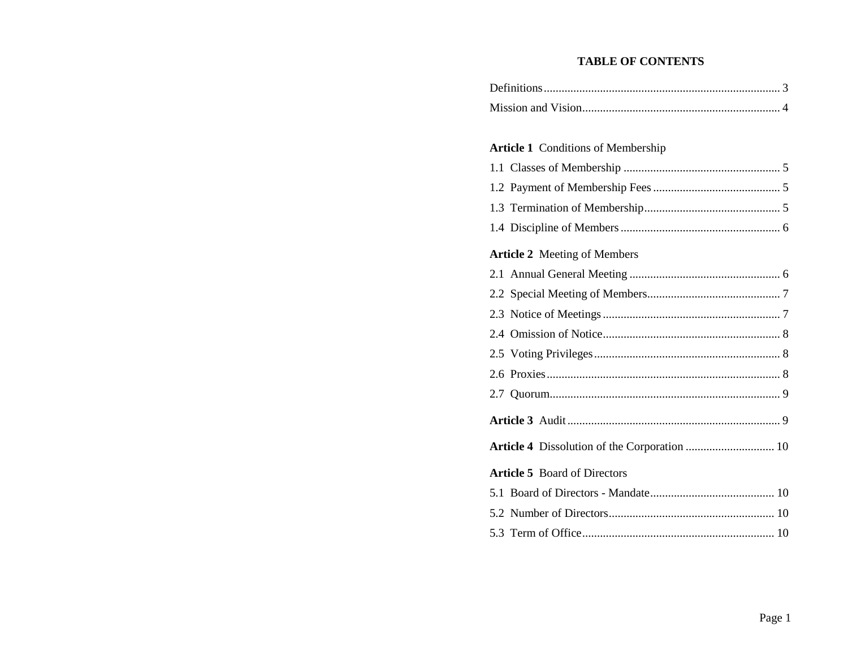## **TABLE OF CONTENTS**

#### **Article 1** Conditions of Membership

**Article 5** Board of Directors

| <b>Article 2</b> Meeting of Members |  |
|-------------------------------------|--|
|                                     |  |
|                                     |  |
|                                     |  |
|                                     |  |
|                                     |  |
|                                     |  |
|                                     |  |
|                                     |  |

**Article 3** Audit........................................................................ 9

**Article 4** Dissolution of the Corporation .............................. 10

5.1 Board of Directors - Mandate.......................................... 10 5.2 Number of Directors........................................................ 10 5.3 Term of Office................................................................. 10

Page 1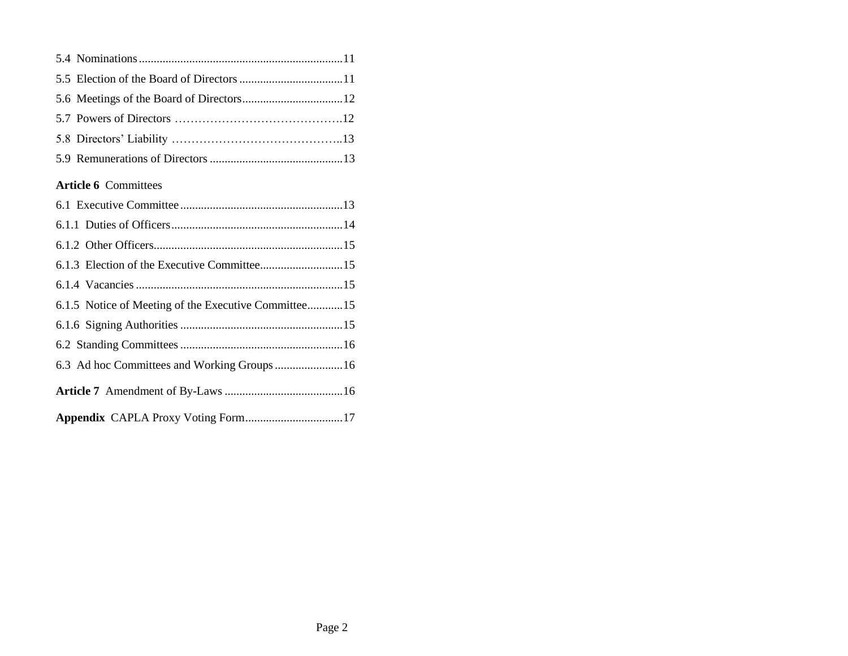# **Article 6** Committees

| 6.1.5 Notice of Meeting of the Executive Committee15 |  |
|------------------------------------------------------|--|
|                                                      |  |
|                                                      |  |
| 6.3 Ad hoc Committees and Working Groups  16         |  |
|                                                      |  |
|                                                      |  |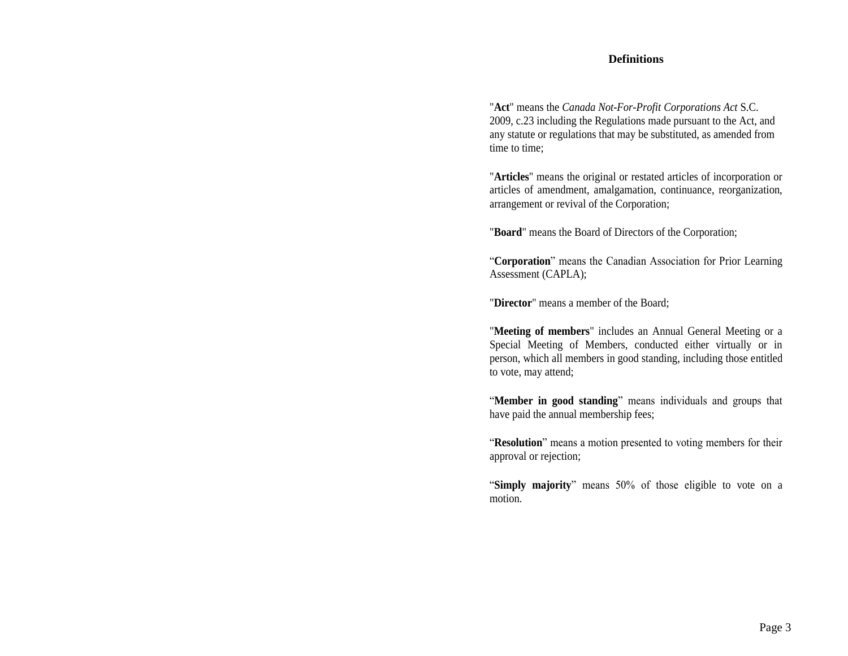#### **Definitions**

"**Act**" means the *Canada Not-For-Profit Corporations Act* S.C. 2009, c.23 including the Regulations made pursuant to the Act, and any statute or regulations that may be substituted, as amended from time to time;

"**Articles**" means the original or restated articles of incorporation or articles of amendment, amalgamation, continuance, reorganization, arrangement or revival of the Corporation;

"**Board**" means the Board of Directors of the Corporation;

"**Corporation**" means the Canadian Association for Prior Learning Assessment (CAPLA);

"**Director**" means a member of the Board;

"**Meeting of members**" includes an Annual General Meeting or a Special Meeting of Members, conducted either virtually or in person, which all members in good standing, including those entitled to vote, may attend;

"**Member in good standing**" means individuals and groups that have paid the annual membership fees;

"**Resolution**" means a motion presented to voting members for their approval or rejection;

"**Simply majority**" means 50% of those eligible to vote on a motion.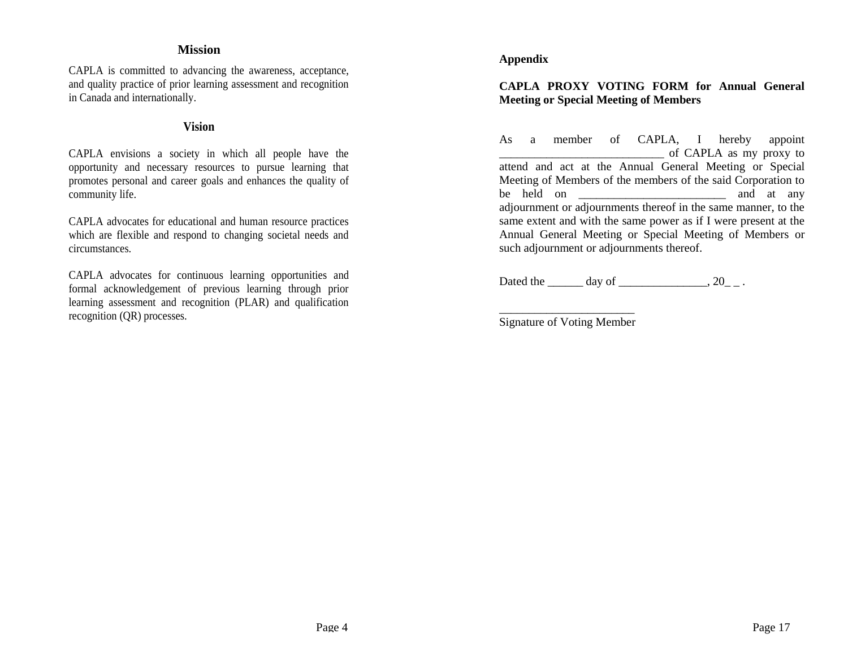# **Mission**

CAPLA is committed to advancing the awareness, acceptance, and quality practice of prior learning assessment and recognition in Canada and internationally.

## **Vision**

CAPLA envisions a society in which all people have the opportunity and necessary resources to pursue learning that promotes personal and career goals and enhances the quality of community life.

CAPLA advocates for educational and human resource practices which are flexible and respond to changing societal needs and circumstances.

CAPLA advocates for continuous learning opportunities and formal acknowledgement of previous learning through prior learning assessment and recognition (PLAR) and qualification recognition (QR) processes.

## **Appendix**

# **CAPLA PROXY VOTING FORM for Annual General Meeting or Special Meeting of Members**

As a member of CAPLA, I hereby appoint \_\_\_\_\_\_\_\_\_\_\_\_\_\_\_\_\_\_\_\_\_\_\_\_\_\_\_\_ of CAPLA as my proxy to attend and act at the Annual General Meeting or Special Meeting of Members of the members of the said Corporation to be held on \_\_\_\_\_\_\_\_\_\_\_\_\_\_\_\_\_\_\_\_\_\_\_\_\_ and at any adjournment or adjournments thereof in the same manner, to the same extent and with the same power as if I were present at the Annual General Meeting or Special Meeting of Members or such adjournment or adjournments thereof.

Dated the \_\_\_\_\_\_ day of \_\_\_\_\_\_\_\_\_\_\_\_\_, 20\_\_.

\_\_\_\_\_\_\_\_\_\_\_\_\_\_\_\_\_\_\_\_\_\_\_ Signature of Voting Member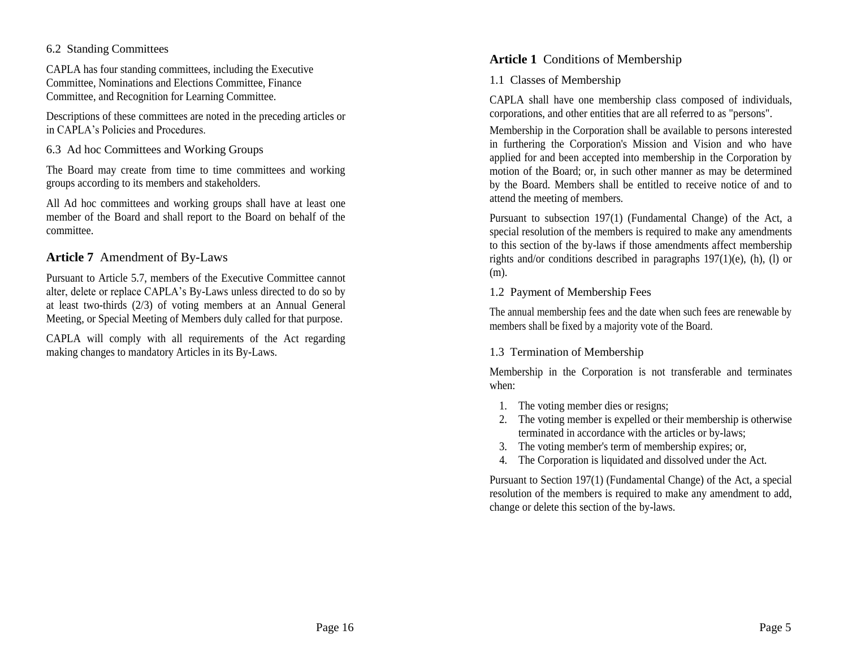### 6.2 Standing Committees

CAPLA has four standing committees, including the Executive Committee, Nominations and Elections Committee, Finance Committee, and Recognition for Learning Committee.

Descriptions of these committees are noted in the preceding articles or in CAPLA's Policies and Procedures.

6.3 Ad hoc Committees and Working Groups

The Board may create from time to time committees and working groups according to its members and stakeholders.

All Ad hoc committees and working groups shall have at least one member of the Board and shall report to the Board on behalf of the committee.

# **Article 7** Amendment of By-Laws

Pursuant to Article 5.7, members of the Executive Committee cannot alter, delete or replace CAPLA's By-Laws unless directed to do so by at least two-thirds (2/3) of voting members at an Annual General Meeting, or Special Meeting of Members duly called for that purpose.

CAPLA will comply with all requirements of the Act regarding making changes to mandatory Articles in its By-Laws.

# **Article 1** Conditions of Membership

1.1 Classes of Membership

CAPLA shall have one membership class composed of individuals, corporations, and other entities that are all referred to as "persons".

Membership in the Corporation shall be available to persons interested in furthering the Corporation's Mission and Vision and who have applied for and been accepted into membership in the Corporation by motion of the Board; or, in such other manner as may be determined by the Board. Members shall be entitled to receive notice of and to attend the meeting of members.

Pursuant to subsection 197(1) (Fundamental Change) of the Act, a special resolution of the members is required to make any amendments to this section of the by-laws if those amendments affect membership rights and/or conditions described in paragraphs 197(1)(e), (h), (l) or (m).

# 1.2 Payment of Membership Fees

The annual membership fees and the date when such fees are renewable by members shall be fixed by a majority vote of the Board.

# 1.3 Termination of Membership

Membership in the Corporation is not transferable and terminates when:

- 1. The voting member dies or resigns;
- 2. The voting member is expelled or their membership is otherwise terminated in accordance with the articles or by-laws;
- 3. The voting member's term of membership expires; or,
- 4. The Corporation is liquidated and dissolved under the Act.

Pursuant to Section 197(1) (Fundamental Change) of the Act, a special resolution of the members is required to make any amendment to add, change or delete this section of the by-laws.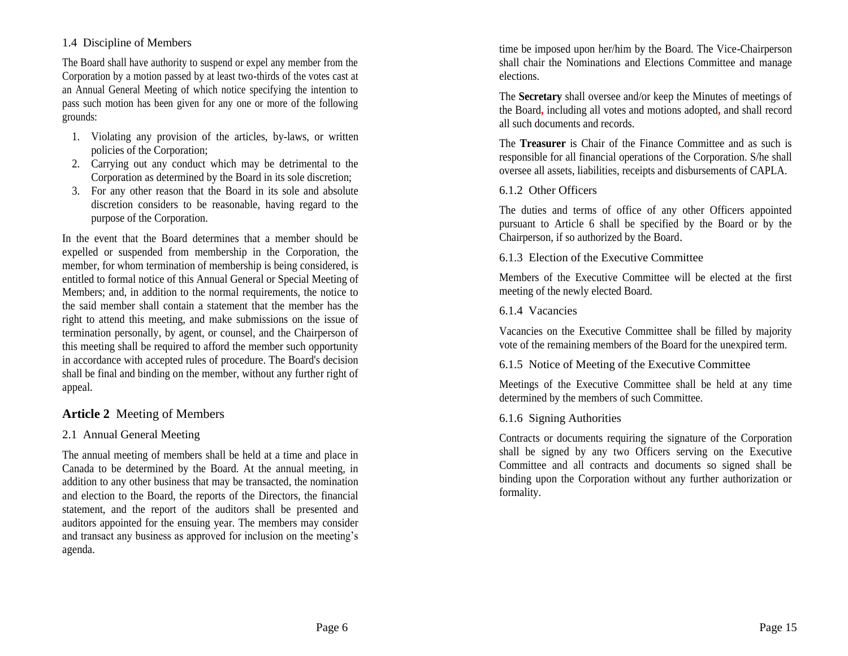## 1.4 Discipline of Members

The Board shall have authority to suspend or expel any member from the Corporation by a motion passed by at least two-thirds of the votes cast at an Annual General Meeting of which notice specifying the intention to pass such motion has been given for any one or more of the following grounds:

- 1. Violating any provision of the articles, by-laws, or written policies of the Corporation;
- 2. Carrying out any conduct which may be detrimental to the Corporation as determined by the Board in its sole discretion;
- 3. For any other reason that the Board in its sole and absolute discretion considers to be reasonable, having regard to the purpose of the Corporation.

In the event that the Board determines that a member should be expelled or suspended from membership in the Corporation, the member, for whom termination of membership is being considered, is entitled to formal notice of this Annual General or Special Meeting of Members; and, in addition to the normal requirements, the notice to the said member shall contain a statement that the member has the right to attend this meeting, and make submissions on the issue of termination personally, by agent, or counsel, and the Chairperson of this meeting shall be required to afford the member such opportunity in accordance with accepted rules of procedure. The Board's decision shall be final and binding on the member, without any further right of appeal.

# **Article 2** Meeting of Members

# 2.1 Annual General Meeting

The annual meeting of members shall be held at a time and place in Canada to be determined by the Board. At the annual meeting, in addition to any other business that may be transacted, the nomination and election to the Board, the reports of the Directors, the financial statement, and the report of the auditors shall be presented and auditors appointed for the ensuing year. The members may consider and transact any business as approved for inclusion on the meeting's agenda.

time be imposed upon her/him by the Board. The Vice-Chairperson shall chair the Nominations and Elections Committee and manage elections.

The **Secretary** shall oversee and/or keep the Minutes of meetings of the Board**,** including all votes and motions adopted**,** and shall record all such documents and records.

The **Treasurer** is Chair of the Finance Committee and as such is responsible for all financial operations of the Corporation. S/he shall oversee all assets, liabilities, receipts and disbursements of CAPLA.

## 6.1.2 Other Officers

The duties and terms of office of any other Officers appointed pursuant to Article 6 shall be specified by the Board or by the Chairperson, if so authorized by the Board.

## 6.1.3 Election of the Executive Committee

Members of the Executive Committee will be elected at the first meeting of the newly elected Board.

### 6.1.4 Vacancies

Vacancies on the Executive Committee shall be filled by majority vote of the remaining members of the Board for the unexpired term.

### 6.1.5 Notice of Meeting of the Executive Committee

Meetings of the Executive Committee shall be held at any time determined by the members of such Committee.

### 6.1.6 Signing Authorities

Contracts or documents requiring the signature of the Corporation shall be signed by any two Officers serving on the Executive Committee and all contracts and documents so signed shall be binding upon the Corporation without any further authorization or formality.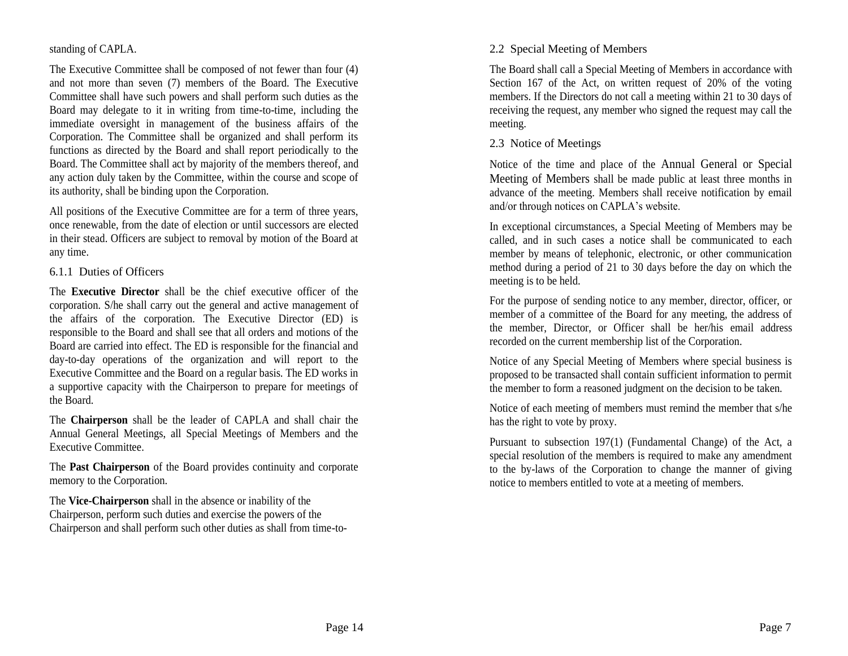### standing of CAPLA.

The Executive Committee shall be composed of not fewer than four (4) and not more than seven (7) members of the Board. The Executive Committee shall have such powers and shall perform such duties as the Board may delegate to it in writing from time-to-time, including the immediate oversight in management of the business affairs of the Corporation. The Committee shall be organized and shall perform its functions as directed by the Board and shall report periodically to the Board. The Committee shall act by majority of the members thereof, and any action duly taken by the Committee, within the course and scope of its authority, shall be binding upon the Corporation.

All positions of the Executive Committee are for a term of three years, once renewable, from the date of election or until successors are elected in their stead. Officers are subject to removal by motion of the Board at any time.

### 6.1.1 Duties of Officers

The **Executive Director** shall be the chief executive officer of the corporation. S/he shall carry out the general and active management of the affairs of the corporation. The Executive Director (ED) is responsible to the Board and shall see that all orders and motions of the Board are carried into effect. The ED is responsible for the financial and day-to-day operations of the organization and will report to the Executive Committee and the Board on a regular basis. The ED works in a supportive capacity with the Chairperson to prepare for meetings of the Board.

The **Chairperson** shall be the leader of CAPLA and shall chair the Annual General Meetings, all Special Meetings of Members and the Executive Committee.

The **Past Chairperson** of the Board provides continuity and corporate memory to the Corporation.

The **Vice-Chairperson** shall in the absence or inability of the Chairperson, perform such duties and exercise the powers of the Chairperson and shall perform such other duties as shall from time-to-

### 2.2 Special Meeting of Members

The Board shall call a Special Meeting of Members in accordance with Section 167 of the Act, on written request of 20% of the voting members. If the Directors do not call a meeting within 21 to 30 days of receiving the request, any member who signed the request may call the meeting.

### 2.3 Notice of Meetings

Notice of the time and place of the Annual General or Special Meeting of Members shall be made public at least three months in advance of the meeting. Members shall receive notification by email and/or through notices on CAPLA's website.

In exceptional circumstances, a Special Meeting of Members may be called, and in such cases a notice shall be communicated to each member by means of telephonic, electronic, or other communication method during a period of 21 to 30 days before the day on which the meeting is to be held.

For the purpose of sending notice to any member, director, officer, or member of a committee of the Board for any meeting, the address of the member, Director, or Officer shall be her/his email address recorded on the current membership list of the Corporation.

Notice of any Special Meeting of Members where special business is proposed to be transacted shall contain sufficient information to permit the member to form a reasoned judgment on the decision to be taken.

Notice of each meeting of members must remind the member that s/he has the right to vote by proxy.

Pursuant to subsection 197(1) (Fundamental Change) of the Act, a special resolution of the members is required to make any amendment to the by-laws of the Corporation to change the manner of giving notice to members entitled to vote at a meeting of members.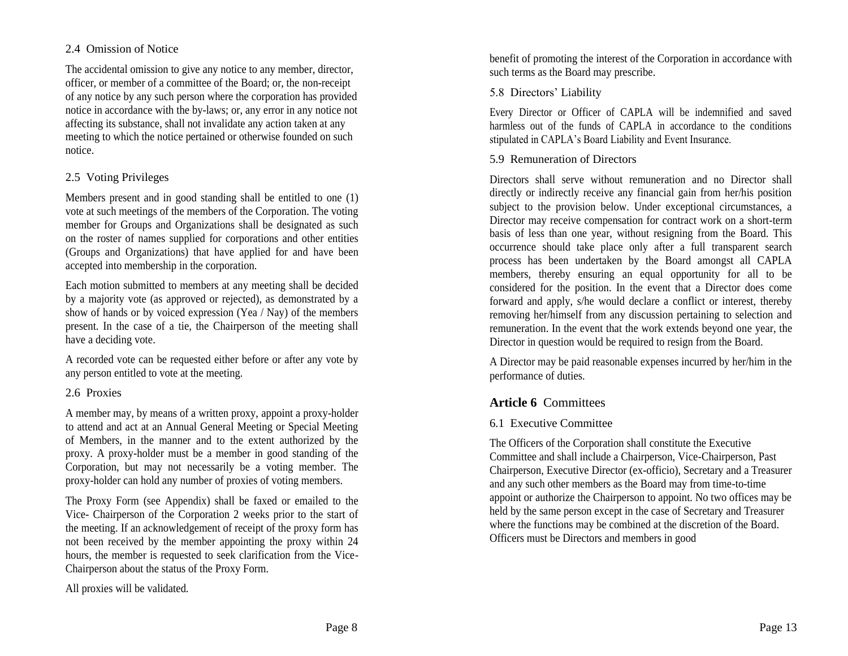### 2.4 Omission of Notice

The accidental omission to give any notice to any member, director, officer, or member of a committee of the Board; or, the non-receipt of any notice by any such person where the corporation has provided notice in accordance with the by-laws; or, any error in any notice not affecting its substance, shall not invalidate any action taken at any meeting to which the notice pertained or otherwise founded on such notice.

# 2.5 Voting Privileges

Members present and in good standing shall be entitled to one (1) vote at such meetings of the members of the Corporation. The voting member for Groups and Organizations shall be designated as such on the roster of names supplied for corporations and other entities (Groups and Organizations) that have applied for and have been accepted into membership in the corporation.

Each motion submitted to members at any meeting shall be decided by a majority vote (as approved or rejected), as demonstrated by a show of hands or by voiced expression (Yea / Nay) of the members present. In the case of a tie, the Chairperson of the meeting shall have a deciding vote.

A recorded vote can be requested either before or after any vote by any person entitled to vote at the meeting.

# 2.6 Proxies

A member may, by means of a written proxy, appoint a proxy-holder to attend and act at an Annual General Meeting or Special Meeting of Members, in the manner and to the extent authorized by the proxy. A proxy-holder must be a member in good standing of the Corporation, but may not necessarily be a voting member. The proxy-holder can hold any number of proxies of voting members.

The Proxy Form (see Appendix) shall be faxed or emailed to the Vice- Chairperson of the Corporation 2 weeks prior to the start of the meeting. If an acknowledgement of receipt of the proxy form has not been received by the member appointing the proxy within 24 hours, the member is requested to seek clarification from the Vice-Chairperson about the status of the Proxy Form.

All proxies will be validated.

benefit of promoting the interest of the Corporation in accordance with such terms as the Board may prescribe.

## 5.8 Directors' Liability

Every Director or Officer of CAPLA will be indemnified and saved harmless out of the funds of CAPLA in accordance to the conditions stipulated in CAPLA's Board Liability and Event Insurance.

## 5.9 Remuneration of Directors

Directors shall serve without remuneration and no Director shall directly or indirectly receive any financial gain from her/his position subject to the provision below. Under exceptional circumstances, a Director may receive compensation for contract work on a short-term basis of less than one year, without resigning from the Board. This occurrence should take place only after a full transparent search process has been undertaken by the Board amongst all CAPLA members, thereby ensuring an equal opportunity for all to be considered for the position. In the event that a Director does come forward and apply, s/he would declare a conflict or interest, thereby removing her/himself from any discussion pertaining to selection and remuneration. In the event that the work extends beyond one year, the Director in question would be required to resign from the Board.

A Director may be paid reasonable expenses incurred by her/him in the performance of duties.

# **Article 6** Committees

# 6.1 Executive Committee

The Officers of the Corporation shall constitute the Executive Committee and shall include a Chairperson, Vice-Chairperson, Past Chairperson, Executive Director (ex-officio), Secretary and a Treasurer and any such other members as the Board may from time-to-time appoint or authorize the Chairperson to appoint. No two offices may be held by the same person except in the case of Secretary and Treasurer where the functions may be combined at the discretion of the Board. Officers must be Directors and members in good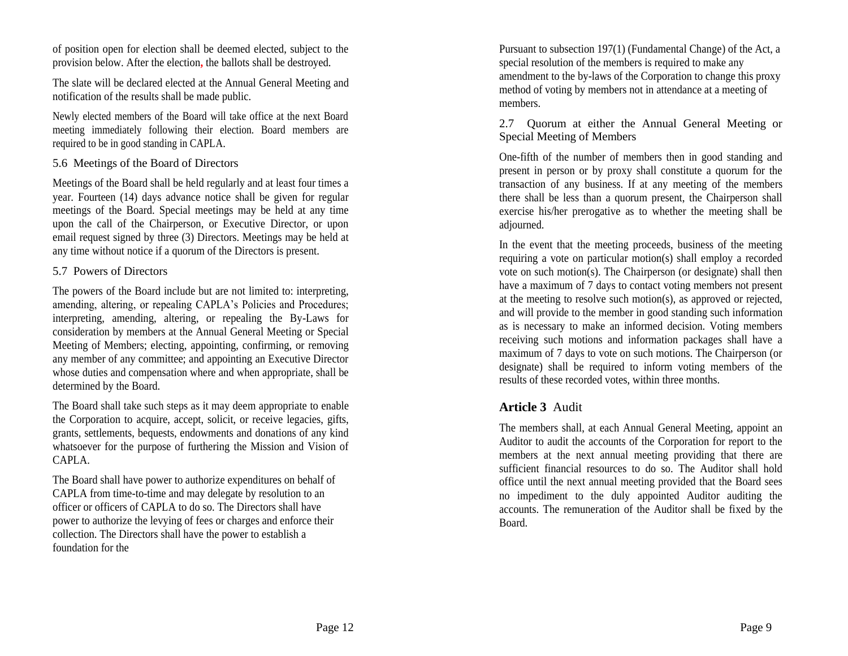of position open for election shall be deemed elected, subject to the provision below. After the election**,** the ballots shall be destroyed.

The slate will be declared elected at the Annual General Meeting and notification of the results shall be made public.

Newly elected members of the Board will take office at the next Board meeting immediately following their election. Board members are required to be in good standing in CAPLA.

#### 5.6 Meetings of the Board of Directors

Meetings of the Board shall be held regularly and at least four times a year. Fourteen (14) days advance notice shall be given for regular meetings of the Board. Special meetings may be held at any time upon the call of the Chairperson, or Executive Director, or upon email request signed by three (3) Directors. Meetings may be held at any time without notice if a quorum of the Directors is present.

#### 5.7 Powers of Directors

The powers of the Board include but are not limited to: interpreting, amending, altering, or repealing CAPLA's Policies and Procedures; interpreting, amending, altering, or repealing the By-Laws for consideration by members at the Annual General Meeting or Special Meeting of Members; electing, appointing, confirming, or removing any member of any committee; and appointing an Executive Director whose duties and compensation where and when appropriate, shall be determined by the Board.

The Board shall take such steps as it may deem appropriate to enable the Corporation to acquire, accept, solicit, or receive legacies, gifts, grants, settlements, bequests, endowments and donations of any kind whatsoever for the purpose of furthering the Mission and Vision of CAPLA.

The Board shall have power to authorize expenditures on behalf of CAPLA from time-to-time and may delegate by resolution to an officer or officers of CAPLA to do so. The Directors shall have power to authorize the levying of fees or charges and enforce their collection. The Directors shall have the power to establish a foundation for the

Pursuant to subsection 197(1) (Fundamental Change) of the Act, a special resolution of the members is required to make any amendment to the by-laws of the Corporation to change this proxy method of voting by members not in attendance at a meeting of members.

2.7 Quorum at either the Annual General Meeting or Special Meeting of Members

One-fifth of the number of members then in good standing and present in person or by proxy shall constitute a quorum for the transaction of any business. If at any meeting of the members there shall be less than a quorum present, the Chairperson shall exercise his/her prerogative as to whether the meeting shall be adjourned.

In the event that the meeting proceeds, business of the meeting requiring a vote on particular motion(s) shall employ a recorded vote on such motion(s). The Chairperson (or designate) shall then have a maximum of 7 days to contact voting members not present at the meeting to resolve such motion(s), as approved or rejected, and will provide to the member in good standing such information as is necessary to make an informed decision. Voting members receiving such motions and information packages shall have a maximum of 7 days to vote on such motions. The Chairperson (or designate) shall be required to inform voting members of the results of these recorded votes, within three months.

# **Article 3** Audit

The members shall, at each Annual General Meeting, appoint an Auditor to audit the accounts of the Corporation for report to the members at the next annual meeting providing that there are sufficient financial resources to do so. The Auditor shall hold office until the next annual meeting provided that the Board sees no impediment to the duly appointed Auditor auditing the accounts. The remuneration of the Auditor shall be fixed by the Board.